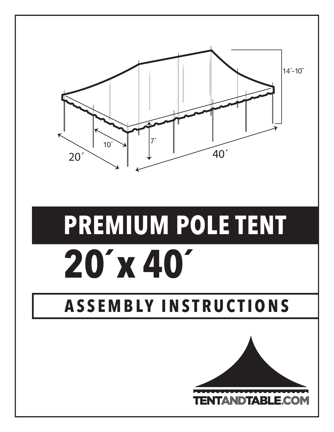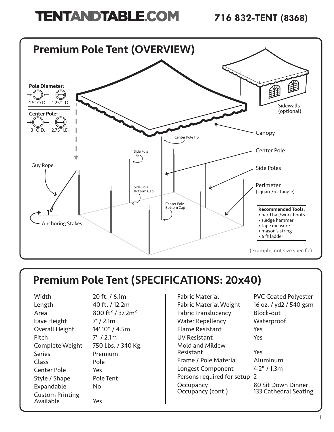# **TENTANDTABLE.COM** 716 832-TENT (8368)



## Premium Pole Tent (SPECIFICATIONS: 20x40)

| Width                               | 20 ft. / 6.1m                            |
|-------------------------------------|------------------------------------------|
| Length                              | 40 ft. / 12.2m                           |
| Area                                | 800 ft <sup>2</sup> / 37.2m <sup>2</sup> |
| Eave Height                         | $7'$ / 2.1m                              |
| Overall Height                      | 14' 10" / 4.5m                           |
| Pitch                               | $7'$ / 2.1m                              |
| Complete Weight                     | 750 Lbs. / 340 Kg.                       |
| <b>Series</b>                       | Premium                                  |
| Class                               | Pole                                     |
| <b>Center Pole</b>                  | Yes                                      |
| Style / Shape                       | <b>Pole Tent</b>                         |
| Expandable                          | No                                       |
| <b>Custom Printing</b><br>Available | Yes                                      |

| Fabric Material               | <b>PVC Coate</b> |
|-------------------------------|------------------|
| <b>Fabric Material Weight</b> | 16 oz. / yd2     |
| <b>Fabric Translucency</b>    | Block-out        |
| Water Repellency              | Waterproo        |
| <b>Flame Resistant</b>        | Yes              |
| <b>UV Resistant</b>           | Yes              |
| Mold and Mildew               |                  |
| Resistant                     | Yes              |
| Frame / Pole Material         | Aluminum         |
| Longest Component             | 4'2" / 1.3m      |
| Persons required for setup 2  |                  |
| Occupancy                     | 80 Sit Dow       |
| Occupancy (cont.)             | 133 Cathed       |

PVC Coated Polyester 16 oz. / yd2 / 540 gsm Block-out Waterproof Aluminum

80 Sit Down Dinner 133 Cathedral Seating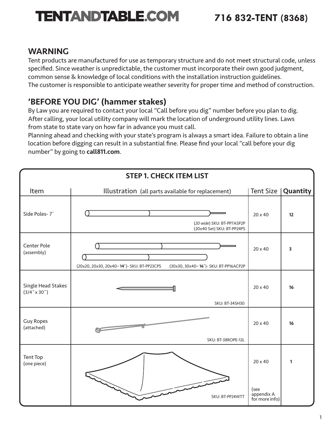### WARNING

Tent products are manufactured for use as temporary structure and do not meet structural code, unless specified. Since weather is unpredictable, the customer must incorporate their own good judgment, common sense & knowledge of local conditions with the installation instruction guidelines. The customer is responsible to anticipate weather severity for proper time and method of construction.

### 'BEFORE YOU DIG' (hammer stakes)

By Law you are required to contact your local "Call before you dig" number before you plan to dig. After calling, your local utility company will mark the location of underground utility lines. Laws from state to state vary on how far in advance you must call.

Planning ahead and checking with your state's program is always a smart idea. Failure to obtain a line location before digging can result in a substantial fine. Please find your local "call before your dig number" by going to call811.com.

| <b>STEP 1. CHECK ITEM LIST</b>            |                                                                                     |                                      |          |
|-------------------------------------------|-------------------------------------------------------------------------------------|--------------------------------------|----------|
| Item                                      | Illustration (all parts available for replacement)                                  | <b>Tent Size</b>                     | Quantity |
| Side Poles-7'                             | (20 wide) SKU: BT-PP7ASP2P<br>(20x40 Set) SKU: BT-PP24PS                            | 20 x 40                              | 12       |
| Center Pole<br>(assembly)                 | (20x20, 20x30, 20x40-14')- SKU: BT-PP23CPS<br>(30x30, 30x40-16')- SKU: BT-PP16ACP2P | 20 x 40                              | 3        |
| Single Head Stakes<br>$(3/4" \times 30")$ | <b>SKU: BT-34SH30</b>                                                               | 20 x 40                              | 16       |
| <b>Guy Ropes</b><br>(attached)            | $\overline{\ }$<br>SKU: BT-38ROPE-12L                                               | 20 x 40                              | 16       |
| Tent Top<br>(one piece)                   |                                                                                     | 20 x 40                              | 1        |
|                                           | SKU: BT-PP24WTT                                                                     | (see<br>appendix A<br>for more info) |          |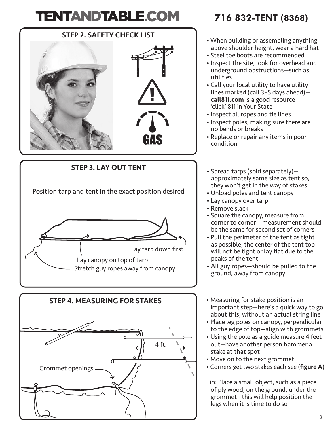### STEP 2. SAFETY CHECK LIST



STEP 3. LAY OUT TENT Position tarp and tent in the exact position desired Lay tarp down first Lay canopy on top of tarp Stretch guy ropes away from canopy STEP 4. MEASURING FOR STAKES



## **716 832-TENT (8368)**

- When building or assembling anything above shoulder height, wear a hard hat
- Steel toe boots are recommended
- Inspect the site, look for overhead and underground obstructions—such as utilities
- Call your local utility to have utility lines marked (call 3–5 days ahead) call811.com is a good resource— 'click' 811 in Your State
- Inspect all ropes and tie lines
- Inspect poles, making sure there are no bends or breaks
- Replace or repair any items in poor condition
- Spread tarps (sold separately) approximately same size as tent so, they won't get in the way of stakes
- Unload poles and tent canopy
- Lay canopy over tarp
- Remove slack
- Square the canopy, measure from corner to corner— measurement should be the same for second set of corners
- Pull the perimeter of the tent as tight as possible, the center of the tent top will not be tight or lay flat due to the peaks of the tent
- All guy ropes—should be pulled to the ground, away from canopy
- Measuring for stake position is an important step—here's a quick way to go about this, without an actual string line
- Place leg poles on canopy, perpendicular to the edge of top—align with grommets
- Using the pole as a guide measure 4 feet out—have another person hammer a stake at that spot
- Move on to the next grommet
- Corners get two stakes each see (figure A)

Tip: Place a small object, such as a piece of ply wood, on the ground, under the grommet—this will help position the legs when it is time to do so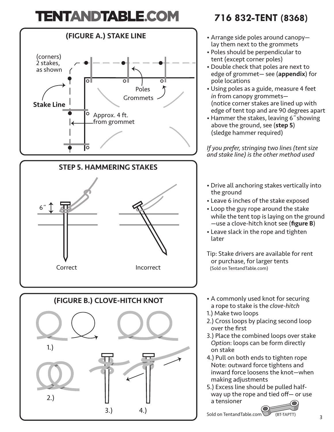

## **716 832-TENT (8368)**

- Arrange side poles around canopy lay them next to the grommets
- Poles should be perpendicular to tent (except corner poles)
- Double check that poles are next to edge of grommet— see (appendix) for pole locations
- Using poles as a guide, measure 4 feet *in* from canopy grommets— (notice corner stakes are lined up with edge of tent top and are 90 degrees apart
- Hammer the stakes, leaving 6˝showing above the ground, see (step 5) (sledge hammer required)

*If you prefer, stringing two lines (tent size and stake line) is the other method used*

- Drive all anchoring stakes vertically into the ground
- Leave 6 inches of the stake exposed
- Loop the guy rope around the stake while the tent top is laying on the ground —use a clove-hitch knot see (figure B)
- Leave slack in the rope and tighten later
- Tip: Stake drivers are available for rent or purchase, for larger tents (Sold on TentandTable.com)
- A commonly used knot for securing a rope to stake is the *clove-hitch*
- 1.) Make two loops
- 2.) Cross loops by placing second loop over the first
- 3.) Place the combined loops over stake *Option*: loops can be form directly on stake
- 4.) Pull on both ends to tighten rope Note: outward force tightens and inward force loosens the knot—when making adjustments
- 5.) Excess line should be pulled half way up the rope and tied off— or use a tensioner

Sold on TentandTable.com (BT-TAPTT)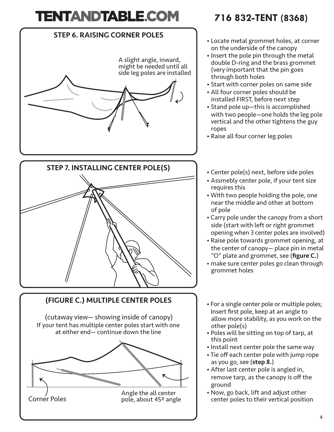



### (FIGURE C.) MULTIPLE CENTER POLES

(cutaway view— showing inside of canopy) If your tent has multiple center poles start with one at either end— continue down the line



## **716 832-TENT (8368)**

- Locate metal grommet holes, at corner on the underside of the canopy
- Insert the pole pin through the metal double D-ring and the brass grommet (very important that the pin goes through both holes
- Start with corner poles on same side
- All four corner poles should be installed FIRST, before next step
- Stand pole up—this is accomplished with two people—one holds the leg pole vertical and the other tightens the guy ropes
- Raise all four corner leg poles
- Center pole(s) next, before side poles
- Assmebly center pole, if your tent size requires this
- With two people holding the pole, one near the middle and other at bottom of pole
- Carry pole under the canopy from a short side (start with left or right grommet opening when 3 center poles are involved)
- Raise pole towards grommet opening, at the center of canopy— place pin in metal "O" plate and grommet, see (figure C.)
- make sure center poles go clean through grommet holes
- For a single center pole or multiple poles; Insert first pole, keep at an angle to allow more stability, as you work on the other pole(s)
- Poles will be sitting on top of tarp, at this point
- Install next center pole the same way
- Tie off each center pole with jump rope as you go, see (step 8.)
- After last center pole is angled in, remove tarp, as the canopy is off the ground
- Now, go back, lift and adjust other center poles to their vertical position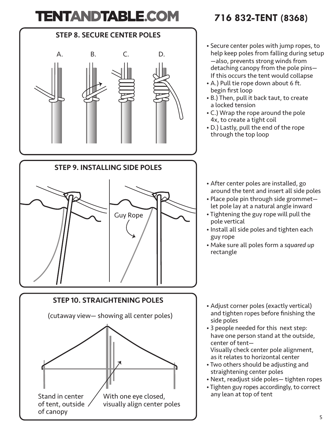





## **716 832-TENT (8368)**

- Secure center poles with jump ropes, to help keep poles from falling during setup —also, prevents strong winds from detaching canopy from the pole pins— If this occurs the tent would collapse
- A.) Pull tie rope down about 6 ft. begin first loop
- B.) Then, pull it back taut, to create a locked tension
- C.) Wrap the rope around the pole 4x, to create a tight coil
- D.) Lastly, pull the end of the rope through the top loop
- After center poles are installed, go around the tent and insert all side poles
- Place pole pin through side grommet let pole lay at a natural angle inward
- Tightening the guy rope will pull the pole vertical
- Install all side poles and tighten each guy rope
- Make sure all poles form a *squared up* rectangle

- Adjust corner poles (exactly vertical) and tighten ropes before finishing the side poles
- 3 people needed for this next step: have one person stand at the outside, center of tent— Visually check center pole alignment,
- as it relates to horizontal center
- Two others should be adjusting and straightening center poles
- Next, readjust side poles— tighten ropes
- Tighten guy ropes accordingly, to correct any lean at top of tent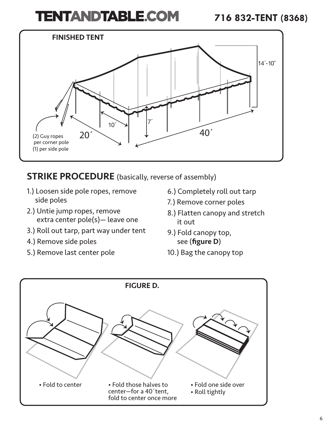

### **STRIKE PROCEDURE** (basically, reverse of assembly)

- 1.) Loosen side pole ropes, remove side poles
- 2.) Untie jump ropes, remove extra center pole(s)— leave one
- 3.) Roll out tarp, part way under tent
- 4.) Remove side poles
- 5.) Remove last center pole
- 6.) Completely roll out tarp
- 7.) Remove corner poles
- 8.) Flatten canopy and stretch it out
- 9.) Fold canopy top, see (figure D)
- 10.) Bag the canopy top

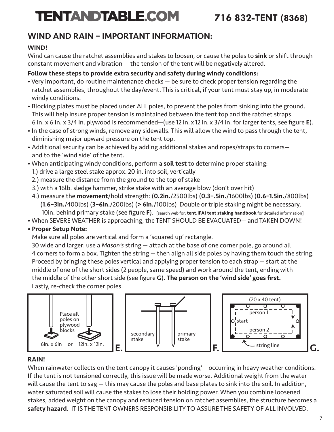### WIND AND RAIN – IMPORTANT INFORMATION:

#### WIND!

Wind can cause the ratchet assemblies and stakes to loosen, or cause the poles to sink or shift through constant movement and vibration — the tension of the tent will be negatively altered.

#### Follow these steps to provide extra security and safety during windy conditions:

- Very important, do routine maintenance checks be sure to check proper tension regarding the ratchet assemblies, throughout the day/event. This is critical, if your tent must stay up, in moderate windy conditions.
- Blocking plates must be placed under ALL poles, to prevent the poles from sinking into the ground. This will help insure proper tension is maintained between the tent top and the ratchet straps. 6 in. x 6 in. x 3/4 in. plywood is recommended—(use 12 in. x 12 in. x 3/4 in. for larger tents, see figure E).
- In the case of strong winds, remove any sidewalls. This will allow the wind to pass through the tent, diminishing major upward pressure on the tent top.
- Additional security can be achieved by adding additional stakes and ropes/straps to corners and to the 'wind side' of the tent.
- When anticipating windy conditions, perform a soil test to determine proper staking:
- 1.) drive a large steel stake approx. 20 in. into soil, vertically
- 2.) measure the distance from the ground to the top of stake
- 3.) with a 16lb. sledge hammer, strike stake with an average blow (don't over hit)
- 4.) measure the movement/hold strength: (0.2in./2500lbs) (0.3–.5in./1600lbs) (0.6–1.5in./800lbs) (1.6–3in./400lbs) (3–6in./200lbs) (> 6in./100lbs) Double or triple staking might be necessary, 10in. behind primary stake (see figure F). [search web for: tent.IFAI tent staking handbook for detailed information]
- When SEVERE WEATHER is approaching, the TENT SHOULD BE EVACUATED— and TAKEN DOWN!
- Proper Setup Note:

Make sure all poles are vertical and form a 'squared up' rectangle.

 30 wide and larger: use a *Mason's* string — attach at the base of one corner pole, go around all 4 corners to form a box. Tighten the string — then align all side poles by having them touch the string. Proceed by bringing these poles vertical and applying proper tension to each strap — start at the middle of one of the short sides (2 people, same speed) and work around the tent, ending with the middle of the other short side (see figure G). The person on the 'wind side' goes first. Lastly, re-check the corner poles.



#### RAIN!

When rainwater collects on the tent canopy it causes 'ponding'— occurring in heavy weather conditions. If the tent is not tensioned correctly, this issue will be made worse. Additional weight from the water will cause the tent to sag — this may cause the poles and base plates to sink into the soil. In addition, water saturated soil will cause the stakes to lose their holding power. When you combine loosened stakes, added weight on the canopy and reduced tension on ratchet assemblies, the structure becomes a safety hazard. IT IS THE TENT OWNERS RESPONSIBILITY TO ASSURE THE SAFETY OF ALL INVOLVED.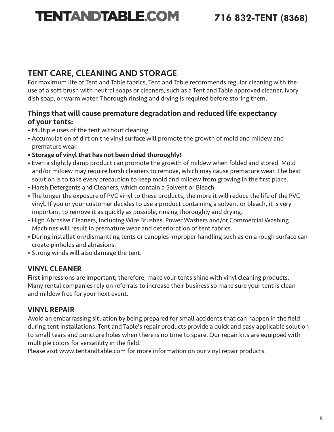### TENT CARE, CLEANING AND STORAGE

For maximum life of Tent and Table fabrics, Tent and Table recommends regular cleaning with the use of a soft brush with neutral soaps or cleaners, such as a Tent and Table approved cleaner, Ivory dish soap, or warm water. Thorough rinsing and drying is required before storing them.

#### Things that will cause premature degradation and reduced life expectancy of your tents:

- Multiple uses of the tent without cleaning
- Accumulation of dirt on the vinyl surface will promote the growth of mold and mildew and premature wear.
- Storage of vinyl that has not been dried thoroughly!
- Even a slightly damp product can promote the growth of mildew when folded and stored. Mold and/or mildew may require harsh cleaners to remove, which may cause premature wear. The best solution is to take every precaution to keep mold and mildew from growing in the first place.
- Harsh Detergents and Cleaners, which contain a Solvent or Bleach
- The longer the exposure of PVC vinyl to these products, the more it will reduce the life of the PVC vinyl. If you or your customer decides to use a product containing a solvent or bleach, it is very important to remove it as quickly as possible, rinsing thoroughly and drying.
- High Abrasive Cleaners, including Wire Brushes, Power Washers and/or Commercial Washing Machines will result in premature wear and deterioration of tent fabrics.
- During installation/dismantling tents or canopies improper handling such as on a rough surface can create pinholes and abrasions.
- Strong winds will also damage the tent.

### VINYL CLEANER

First impressions are important; therefore, make your tents shine with vinyl cleaning products. Many rental companies rely on referrals to increase their business so make sure your tent is clean and mildew free for your next event.

### VINYL REPAIR

Avoid an embarrassing situation by being prepared for small accidents that can happen in the field during tent installations. Tent and Table's repair products provide a quick and easy applicable solution to small tears and puncture holes when there is no time to spare. Our repair kits are equipped with multiple colors for versatility in the field.

Please visit www.tentandtable.com for more information on our vinyl repair products.